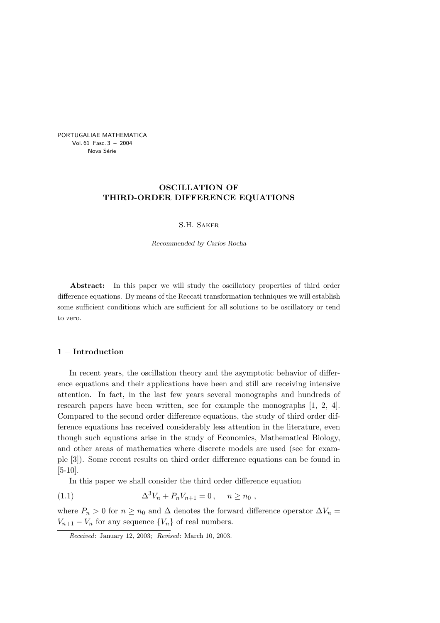PORTUGALIAE MATHEMATICA Vol. 61 Fasc. 3 – 2004 Nova Série

# OSCILLATION OF THIRD-ORDER DIFFERENCE EQUATIONS

S.H. Saker

Recommended by Carlos Rocha

Abstract: In this paper we will study the oscillatory properties of third order difference equations. By means of the Reccati transformation techniques we will establish some sufficient conditions which are sufficient for all solutions to be oscillatory or tend to zero.

## 1 – Introduction

In recent years, the oscillation theory and the asymptotic behavior of difference equations and their applications have been and still are receiving intensive attention. In fact, in the last few years several monographs and hundreds of research papers have been written, see for example the monographs [1, 2, 4]. Compared to the second order difference equations, the study of third order difference equations has received considerably less attention in the literature, even though such equations arise in the study of Economics, Mathematical Biology, and other areas of mathematics where discrete models are used (see for example [3]). Some recent results on third order difference equations can be found in [5-10].

In this paper we shall consider the third order difference equation

(1.1) 
$$
\Delta^3 V_n + P_n V_{n+1} = 0, \quad n \ge n_0,
$$

where  $P_n > 0$  for  $n \geq n_0$  and  $\Delta$  denotes the forward difference operator  $\Delta V_n =$  $V_{n+1} - V_n$  for any sequence  $\{V_n\}$  of real numbers.

Received: January 12, 2003; Revised: March 10, 2003.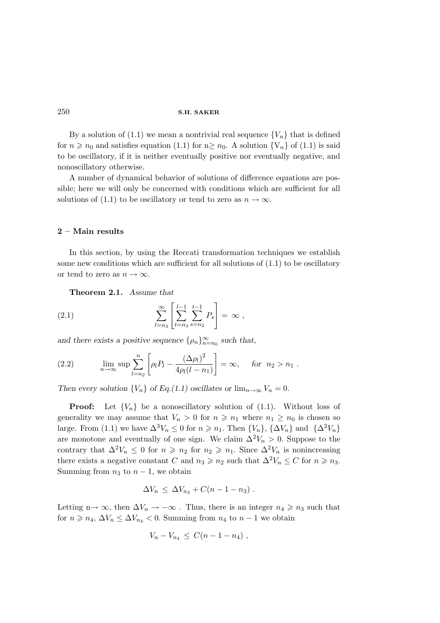By a solution of (1.1) we mean a nontrivial real sequence  $\{V_n\}$  that is defined for  $n \ge n_0$  and satisfies equation (1.1) for  $n \ge n_0$ . A solution  $\{V_n\}$  of (1.1) is said to be oscillatory, if it is neither eventually positive nor eventually negative, and nonoscillatory otherwise.

A number of dynamical behavior of solutions of difference equations are possible; here we will only be concerned with conditions which are sufficient for all solutions of (1.1) to be oscillatory or tend to zero as  $n \to \infty$ .

#### 2 – Main results

In this section, by using the Reccati transformation techniques we establish some new conditions which are sufficient for all solutions of  $(1.1)$  to be oscillatory or tend to zero as  $n \to \infty$ .

Theorem 2.1. Assume that

(2.1) 
$$
\sum_{l=n_3}^{\infty} \left[ \sum_{t=n_3}^{l-1} \sum_{s=n_2}^{t-1} P_s \right] = \infty ,
$$

and there exists a positive sequence  $\{\rho_n\}_{n=n_0}^{\infty}$  such that,

(2.2) 
$$
\lim_{n \to \infty} \sup \sum_{l=n_2}^{n} \left[ \rho_l P_l - \frac{(\Delta \rho_l)^2}{4 \rho_l (l - n_1)} \right] = \infty, \text{ for } n_2 > n_1.
$$

Then every solution  $\{V_n\}$  of Eq.(1.1) oscillates or  $\lim_{n\to\infty} V_n = 0$ .

**Proof:** Let  $\{V_n\}$  be a nonoscillatory solution of  $(1.1)$ . Without loss of generality we may assume that  $V_n > 0$  for  $n \geq n_1$  where  $n_1 \geq n_0$  is chosen so large. From (1.1) we have  $\Delta^3 V_n \leq 0$  for  $n \geq n_1$ . Then  $\{V_n\}$ ,  $\{\Delta V_n\}$  and  $\{\Delta^2 V_n\}$ are monotone and eventually of one sign. We claim  $\Delta^2 V_n > 0$ . Suppose to the contrary that  $\Delta^2 V_n \leq 0$  for  $n \geq n_2$  for  $n_2 \geq n_1$ . Since  $\Delta^2 V_n$  is nonincreasing there exists a negative constant C and  $n_3 \geq n_2$  such that  $\Delta^2 V_n \leq C$  for  $n \geq n_3$ . Summing from  $n_3$  to  $n-1$ , we obtain

$$
\Delta V_n \leq \Delta V_{n_3} + C(n-1-n_3) \; .
$$

Letting n→ ∞, then  $\Delta V_n \to -\infty$ . Thus, there is an integer  $n_4 \geq n_3$  such that for  $n \geq n_4$ ,  $\Delta V_n \leq \Delta V_{n_4} < 0$ . Summing from  $n_4$  to  $n-1$  we obtain

$$
V_n - V_{n_4} \leq C(n - 1 - n_4) ,
$$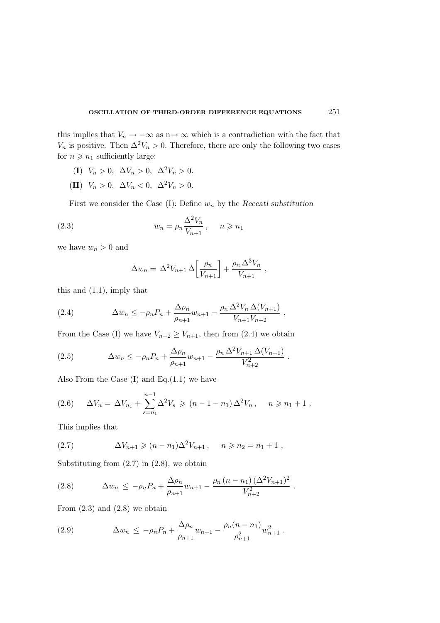this implies that  $V_n \to -\infty$  as n→  $\infty$  which is a contradiction with the fact that  $V_n$  is positive. Then  $\Delta^2 V_n > 0$ . Therefore, there are only the following two cases for  $n \geqslant n_1$  sufficiently large:

- (I)  $V_n > 0$ ,  $\Delta V_n > 0$ ,  $\Delta^2 V_n > 0$ .
- (II)  $V_n > 0$ ,  $\Delta V_n < 0$ ,  $\Delta^2 V_n > 0$ .

First we consider the Case  $(I)$ : Define  $w_n$  by the Reccati substitution

(2.3) 
$$
w_n = \rho_n \frac{\Delta^2 V_n}{V_{n+1}}, \quad n \geqslant n_1
$$

we have  $w_n > 0$  and

$$
\Delta w_n = \Delta^2 V_{n+1} \Delta \left[ \frac{\rho_n}{V_{n+1}} \right] + \frac{\rho_n \Delta^3 V_n}{V_{n+1}} \;,
$$

this and (1.1), imply that

(2.4) 
$$
\Delta w_n \leq -\rho_n P_n + \frac{\Delta \rho_n}{\rho_{n+1}} w_{n+1} - \frac{\rho_n \Delta^2 V_n \Delta (V_{n+1})}{V_{n+1} V_{n+2}} ,
$$

From the Case (I) we have  $V_{n+2} \geq V_{n+1}$ , then from (2.4) we obtain

(2.5) 
$$
\Delta w_n \leq -\rho_n P_n + \frac{\Delta \rho_n}{\rho_{n+1}} w_{n+1} - \frac{\rho_n \Delta^2 V_{n+1} \Delta(V_{n+1})}{V_{n+2}^2}.
$$

Also From the Case  $(I)$  and Eq. $(1.1)$  we have

$$
(2.6) \quad \Delta V_n = \Delta V_{n_1} + \sum_{s=n_1}^{n-1} \Delta^2 V_s \geq (n-1-n_1) \Delta^2 V_n, \quad n \geq n_1 + 1.
$$

This implies that

(2.7) 
$$
\Delta V_{n+1} \geqslant (n - n_1) \Delta^2 V_{n+1} , \quad n \geqslant n_2 = n_1 + 1 ,
$$

Substituting from  $(2.7)$  in  $(2.8)$ , we obtain

(2.8) 
$$
\Delta w_n \leq -\rho_n P_n + \frac{\Delta \rho_n}{\rho_{n+1}} w_{n+1} - \frac{\rho_n (n-n_1) (\Delta^2 V_{n+1})^2}{V_{n+2}^2}.
$$

From  $(2.3)$  and  $(2.8)$  we obtain

(2.9) 
$$
\Delta w_n \leq -\rho_n P_n + \frac{\Delta \rho_n}{\rho_{n+1}} w_{n+1} - \frac{\rho_n (n-n_1)}{\rho_{n+1}^2} w_{n+1}^2.
$$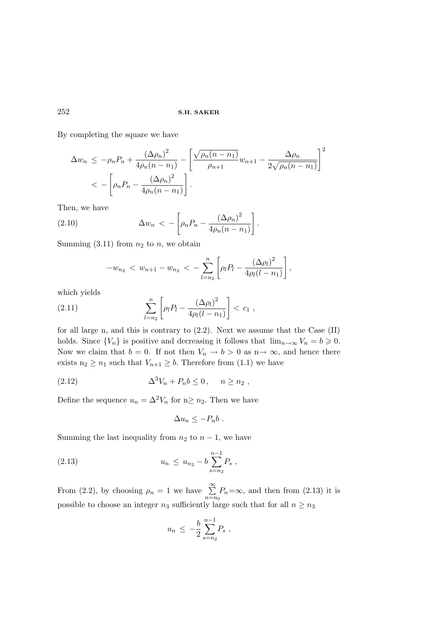By completing the square we have

$$
\Delta w_n \le -\rho_n P_n + \frac{(\Delta \rho_n)^2}{4\rho_n (n - n_1)} - \left[ \frac{\sqrt{\rho_n (n - n_1)}}{\rho_{n+1}} w_{n+1} - \frac{\Delta \rho_n}{2\sqrt{\rho_n (n - n_1)}} \right]^2
$$
  
< 
$$
< - \left[ \rho_n P_n - \frac{(\Delta \rho_n)^2}{4\rho_n (n - n_1)} \right].
$$

Then, we have

(2.10) 
$$
\Delta w_n \, < \, -\left[\rho_n P_n - \frac{\left(\Delta \rho_n\right)^2}{4\rho_n(n-n_1)}\right].
$$

Summing  $(3.11)$  from  $n_2$  to n, we obtain

$$
-w_{n_2} < w_{n+1} - w_{n_2} < -\sum_{l=n_2}^n \left[ \rho_l P_l - \frac{(\Delta \rho_l)^2}{4\rho_l (l - n_1)} \right],
$$

which yields

(2.11) 
$$
\sum_{l=n_2}^{n} \left[ \rho_l P_l - \frac{(\Delta \rho_l)^2}{4 \rho_l (l-n_1)} \right] < c_1 \; ,
$$

for all large n, and this is contrary to (2.2). Next we assume that the Case (II) holds. Since  $\{V_n\}$  is positive and decreasing it follows that  $\lim_{n\to\infty} V_n = b \geq 0$ . Now we claim that  $b = 0$ . If not then  $V_n \to b > 0$  as  $n \to \infty$ , and hence there exists  $n_2 \geq n_1$  such that  $V_{n+1} \geq b$ . Therefore from (1.1) we have

∆<sup>3</sup> (2.12) V<sup>n</sup> + Pnb ≤ 0 , n ≥ n<sup>2</sup> ,

Define the sequence  $u_n = \Delta^2 V_n$  for  $n \geq n_2$ . Then we have

$$
\Delta u_n \leq -P_n b .
$$

Summing the last inequality from  $n_2$  to  $n - 1$ , we have

$$
(2.13) \t\t u_n \leq u_{n_2} - b \sum_{s=n_2}^{n-1} P_s ,
$$

From (2.2), by choosing  $\rho_n = 1$  we have  $\sum_{n=1}^{\infty}$  $\sum_{n=n_0} P_n = \infty$ , and then from (2.13) it is possible to choose an integer  $n_3$  sufficiently large such that for all  $n \geq n_3$ 

$$
u_n \, \leq \, -\frac{b}{2} \sum_{s=n_2}^{n-1} P_s \; ,
$$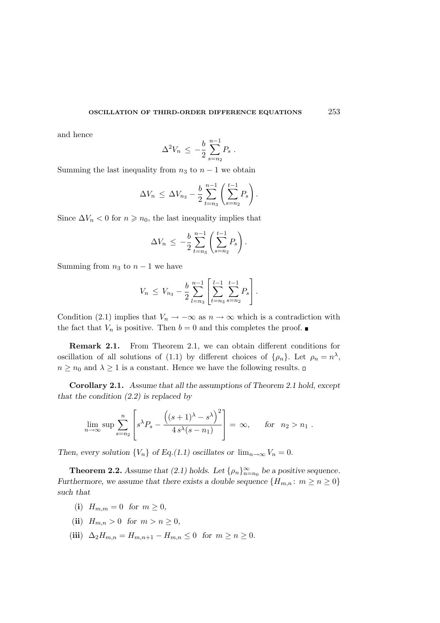and hence

$$
\Delta^2 V_n \, \leq \, -\frac{b}{2} \sum_{s=n_2}^{n-1} P_s \; .
$$

Summing the last inequality from  $n_3$  to  $n-1$  we obtain

$$
\Delta V_n \leq \Delta V_{n_3} - \frac{b}{2} \sum_{t=n_3}^{n-1} \left( \sum_{s=n_2}^{t-1} P_s \right).
$$

Since  $\Delta V_n < 0$  for  $n \geq n_0$ , the last inequality implies that

$$
\Delta V_n \leq -\frac{b}{2} \sum_{t=n_3}^{n-1} \left( \sum_{s=n_2}^{t-1} P_s \right).
$$

Summing from  $n_3$  to  $n-1$  we have

$$
V_n \leq V_{n_3} - \frac{b}{2} \sum_{l=n_3}^{n-1} \left[ \sum_{t=n_3}^{l-1} \sum_{s=n_2}^{t-1} P_s \right].
$$

Condition (2.1) implies that  $V_n \to -\infty$  as  $n \to \infty$  which is a contradiction with the fact that  $V_n$  is positive. Then  $b = 0$  and this completes the proof.

Remark 2.1. From Theorem 2.1, we can obtain different conditions for oscillation of all solutions of (1.1) by different choices of  $\{\rho_n\}$ . Let  $\rho_n = n^{\lambda}$ ,  $n \geq n_0$  and  $\lambda \geq 1$  is a constant. Hence we have the following results.  $\Box$ 

Corollary 2.1. Assume that all the assumptions of Theorem 2.1 hold, except that the condition  $(2.2)$  is replaced by

$$
\lim_{n \to \infty} \sup \sum_{s=n_2}^{n} \left[ s^{\lambda} P_s - \frac{\left( (s+1)^{\lambda} - s^{\lambda} \right)^2}{4 s^{\lambda} (s-n_1)} \right] = \infty, \quad \text{for} \quad n_2 > n_1.
$$

Then, every solution  $\{V_n\}$  of Eq.(1.1) oscillates or  $\lim_{n\to\infty} V_n = 0$ .

**Theorem 2.2.** Assume that (2.1) holds. Let  $\{\rho_n\}_{n=n_0}^{\infty}$  be a positive sequence. Furthermore, we assume that there exists a double sequence  $\{H_{m,n}: m \geq n \geq 0\}$ such that

- (i)  $H_{m,m} = 0$  for  $m \geq 0$ ,
- (ii)  $H_{m,n} > 0$  for  $m > n \geq 0$ ,
- (iii)  $\Delta_2 H_{m,n} = H_{m,n+1} H_{m,n} \leq 0$  for  $m \geq n \geq 0$ .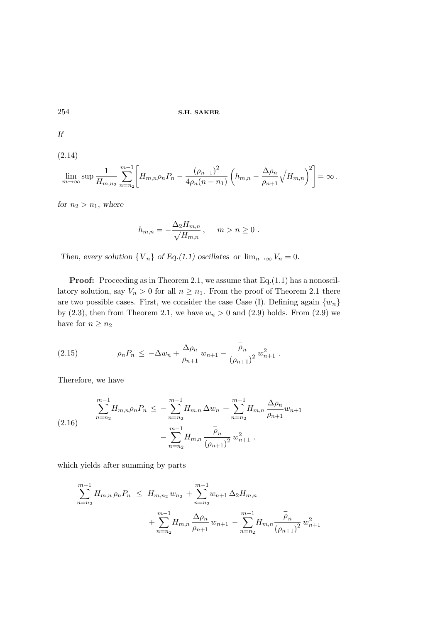If

(2.14)

$$
\lim_{m \to \infty} \sup \frac{1}{H_{m,n_2}} \sum_{n=n_2}^{m-1} \left[ H_{m,n} \rho_n P_n - \frac{(\rho_{n+1})^2}{4\rho_n (n-n_1)} \left( h_{m,n} - \frac{\Delta \rho_n}{\rho_{n+1}} \sqrt{H_{m,n}} \right)^2 \right] = \infty.
$$

for  $n_2 > n_1$ , where

$$
h_{m,n} = -\frac{\Delta_2 H_{m,n}}{\sqrt{H_{m,n}}}, \quad m > n \ge 0.
$$

Then, every solution  $\{V_n\}$  of Eq.(1.1) oscillates or  $\lim_{n\to\infty} V_n = 0$ .

**Proof:** Proceeding as in Theorem 2.1, we assume that Eq.(1.1) has a nonoscillatory solution, say  $V_n > 0$  for all  $n \geq n_1$ . From the proof of Theorem 2.1 there are two possible cases. First, we consider the case Case (I). Defining again  $\{w_n\}$ by  $(2.3)$ , then from Theorem 2.1, we have  $w_n > 0$  and  $(2.9)$  holds. From  $(2.9)$  we have for  $n \geq n_2$ 

(2.15) 
$$
\rho_n P_n \leq -\Delta w_n + \frac{\Delta \rho_n}{\rho_{n+1}} w_{n+1} - \frac{\bar{\rho}_n}{(\rho_{n+1})^2} w_{n+1}^2.
$$

Therefore, we have

$$
\sum_{n=n_2}^{m-1} H_{m,n} \rho_n P_n \leq -\sum_{n=n_2}^{m-1} H_{m,n} \Delta w_n + \sum_{n=n_2}^{m-1} H_{m,n} \frac{\Delta \rho_n}{\rho_{n+1}} w_{n+1}
$$
\n
$$
-\sum_{n=n_2}^{m-1} H_{m,n} \frac{\bar{\rho}_n}{(\rho_{n+1})^2} w_{n+1}^2.
$$

which yields after summing by parts

$$
\sum_{n=n_2}^{m-1} H_{m,n} \rho_n P_n \le H_{m,n_2} w_{n_2} + \sum_{n=n_2}^{m-1} w_{n+1} \Delta_2 H_{m,n} + \sum_{n=n_2}^{m-1} H_{m,n} \frac{\Delta \rho_n}{\rho_{n+1}} w_{n+1} - \sum_{n=n_2}^{m-1} H_{m,n} \frac{\overline{\rho}_n}{(\rho_{n+1})^2} w_{n+1}^2
$$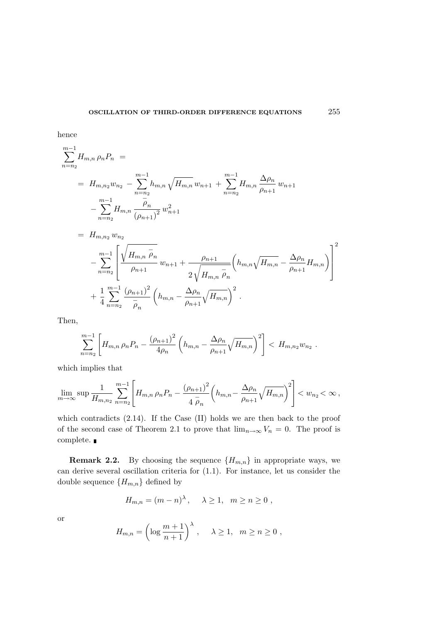hence

$$
\sum_{n=n_2}^{m-1} H_{m,n} \rho_n P_n =
$$
\n
$$
= H_{m,n_2} w_{n_2} - \sum_{n=n_2}^{m-1} h_{m,n} \sqrt{H_{m,n}} w_{n+1} + \sum_{n=n_2}^{m-1} H_{m,n} \frac{\Delta \rho_n}{\rho_{n+1}} w_{n+1}
$$
\n
$$
- \sum_{n=n_2}^{m-1} H_{m,n} \frac{\bar{\rho}_n}{(\rho_{n+1})^2} w_{n+1}^2
$$

$$
= H_{m,n_2} w_{n_2}
$$
  

$$
- \sum_{n=n_2}^{m-1} \left[ \frac{\sqrt{H_{m,n} \overline{\rho}_n}}{\rho_{n+1}} w_{n+1} + \frac{\rho_{n+1}}{2 \sqrt{H_{m,n} \overline{\rho}_n}} \left( h_{m,n} \sqrt{H_{m,n}} - \frac{\Delta \rho_n}{\rho_{n+1}} H_{m,n} \right) \right]^2
$$
  

$$
+ \frac{1}{4} \sum_{n=n_2}^{m-1} \frac{(\rho_{n+1})^2}{\overline{\rho}_n} \left( h_{m,n} - \frac{\Delta \rho_n}{\rho_{n+1}} \sqrt{H_{m,n}} \right)^2.
$$

Then,

$$
\sum_{n=n_2}^{m-1} \left[ H_{m,n} \rho_n P_n - \frac{(\rho_{n+1})^2}{4\rho_n} \left( h_{m,n} - \frac{\Delta \rho_n}{\rho_{n+1}} \sqrt{H_{m,n}} \right)^2 \right] < H_{m,n_2} w_{n_2} \; .
$$

which implies that

$$
\lim_{m \to \infty} \sup \frac{1}{H_{m,n_2}} \sum_{n=n_2}^{m-1} \left[ H_{m,n} \rho_n P_n - \frac{(\rho_{n+1})^2}{4 \rho_n} \left( h_{m,n} - \frac{\Delta \rho_n}{\rho_{n+1}} \sqrt{H_{m,n}} \right)^2 \right] < w_{n_2} < \infty
$$

which contradicts  $(2.14)$ . If the Case  $(II)$  holds we are then back to the proof of the second case of Theorem 2.1 to prove that  $\lim_{n\to\infty} V_n = 0$ . The proof is complete.  $\blacksquare$ 

**Remark 2.2.** By choosing the sequence  ${H_{m,n}}$  in appropriate ways, we can derive several oscillation criteria for (1.1). For instance, let us consider the double sequence  ${H_{m,n}}$  defined by

$$
H_{m,n} = (m-n)^{\lambda}, \quad \lambda \ge 1, \quad m \ge n \ge 0,
$$

or

$$
H_{m,n} = \left(\log \frac{m+1}{n+1}\right)^{\lambda}, \quad \lambda \ge 1, \quad m \ge n \ge 0,
$$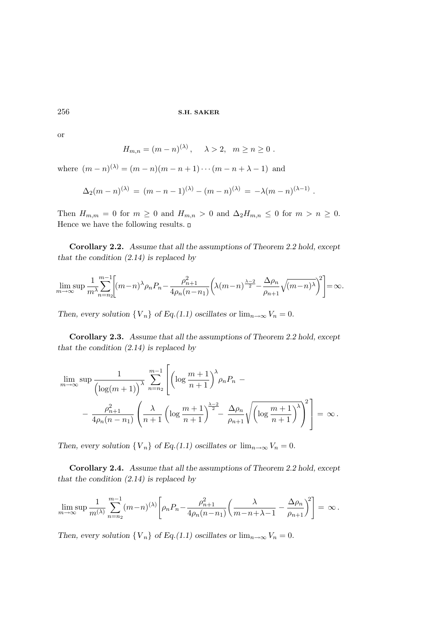or

$$
H_{m,n} = (m-n)^{(\lambda)}, \quad \lambda > 2, \quad m \ge n \ge 0.
$$

where  $(m-n)^{(\lambda)} = (m-n)(m-n+1)\cdots(m-n+\lambda-1)$  and

$$
\Delta_2(m-n)^{(\lambda)} = (m-n-1)^{(\lambda)} - (m-n)^{(\lambda)} = -\lambda(m-n)^{(\lambda-1)}.
$$

Then  $H_{m,m} = 0$  for  $m \geq 0$  and  $H_{m,n} > 0$  and  $\Delta_2 H_{m,n} \leq 0$  for  $m > n \geq 0$ . Hence we have the following results.  $\Box$ 

Corollary 2.2. Assume that all the assumptions of Theorem 2.2 hold, except that the condition  $(2.14)$  is replaced by

$$
\lim_{m \to \infty} \sup \frac{1}{m} \sum_{n=n_2}^{m-1} \left[ (m-n)^{\lambda} \rho_n P_n - \frac{\rho_{n+1}^2}{4\rho_n (n-n_1)} \left( \lambda (m-n)^{\frac{\lambda-2}{2}} - \frac{\Delta \rho_n}{\rho_{n+1}} \sqrt{(m-n)^{\lambda}} \right)^2 \right] = \infty.
$$

Then, every solution  $\{V_n\}$  of Eq.(1.1) oscillates or  $\lim_{n\to\infty} V_n = 0$ .

Corollary 2.3. Assume that all the assumptions of Theorem 2.2 hold, except that the condition  $(2.14)$  is replaced by

$$
\lim_{m \to \infty} \sup \frac{1}{\left(\log(m+1)\right)^{\lambda}} \sum_{n=n_2}^{m-1} \left[ \left(\log \frac{m+1}{n+1}\right)^{\lambda} \rho_n P_n - \right] \n- \frac{\rho_{n+1}^2}{4\rho_n(n-n_1)} \left(\frac{\lambda}{n+1} \left(\log \frac{m+1}{n+1}\right)^{\lambda-2} - \frac{\Delta \rho_n}{\rho_{n+1}} \sqrt{\left(\log \frac{m+1}{n+1}\right)^{\lambda}} \right)^2 \right] = \infty.
$$

Then, every solution  $\{V_n\}$  of Eq.(1.1) oscillates or  $\lim_{n\to\infty} V_n = 0$ .

Corollary 2.4. Assume that all the assumptions of Theorem 2.2 hold, except that the condition  $(2.14)$  is replaced by

$$
\lim_{m \to \infty} \sup \frac{1}{m^{(\lambda)}} \sum_{n=n_2}^{m-1} (m-n)^{(\lambda)} \left[ \rho_n P_n - \frac{\rho_{n+1}^2}{4\rho_n (n-n_1)} \left( \frac{\lambda}{m-n+\lambda-1} - \frac{\Delta \rho_n}{\rho_{n+1}} \right)^2 \right] = \infty.
$$

Then, every solution  $\{V_n\}$  of Eq.(1.1) oscillates or  $\lim_{n\to\infty} V_n = 0$ .